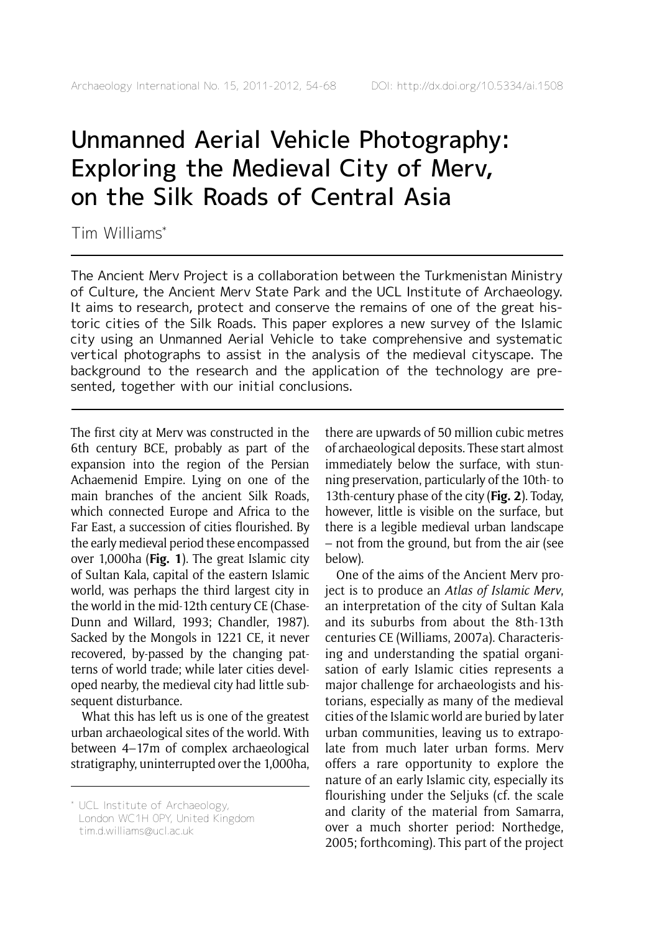# Unmanned Aerial Vehicle Photography: Exploring the Medieval City of Merv, on the Silk Roads of Central Asia

Tim Williams\*

The Ancient Merv Project is a collaboration between the Turkmenistan Ministry of Culture, the Ancient Merv State Park and the UCL Institute of Archaeology. It aims to research, protect and conserve the remains of one of the great historic cities of the Silk Roads. This paper explores a new survey of the Islamic city using an Unmanned Aerial Vehicle to take comprehensive and systematic vertical photographs to assist in the analysis of the medieval cityscape. The background to the research and the application of the technology are presented, together with our initial conclusions.

The first city at Merv was constructed in the 6th century BCE, probably as part of the expansion into the region of the Persian Achaemenid Empire. Lying on one of the main branches of the ancient Silk Roads, which connected Europe and Africa to the Far East, a succession of cities flourished. By the early medieval period these encompassed over 1,000ha (**Fig. 1**). The great Islamic city of Sultan Kala, capital of the eastern Islamic world, was perhaps the third largest city in the world in the mid-12th century CE (Chase-Dunn and Willard, 1993; Chandler, 1987). Sacked by the Mongols in 1221 CE, it never recovered, by-passed by the changing patterns of world trade; while later cities developed nearby, the medieval city had little subsequent disturbance.

What this has left us is one of the greatest urban archaeological sites of the world. With between 4–17m of complex archaeological stratigraphy, uninterrupted over the 1,000ha, there are upwards of 50 million cubic metres of archaeological deposits. These start almost immediately below the surface, with stunning preservation, particularly of the 10th- to 13th-century phase of the city (**Fig. 2**). Today, however, little is visible on the surface, but there is a legible medieval urban landscape – not from the ground, but from the air (see below).

One of the aims of the Ancient Merv project is to produce an *Atlas of Islamic Merv*, an interpretation of the city of Sultan Kala and its suburbs from about the 8th-13th centuries CE (Williams, 2007a). Characterising and understanding the spatial organisation of early Islamic cities represents a major challenge for archaeologists and historians, especially as many of the medieval cities of the Islamic world are buried by later urban communities, leaving us to extrapolate from much later urban forms. Merv offers a rare opportunity to explore the nature of an early Islamic city, especially its flourishing under the Seljuks (cf. the scale and clarity of the material from Samarra, over a much shorter period: Northedge, 2005; forthcoming). This part of the project

<sup>\*</sup> UCL Institute of Archaeology, London WC1H 0PY, United Kingdom tim.d.williams@ucl.ac.uk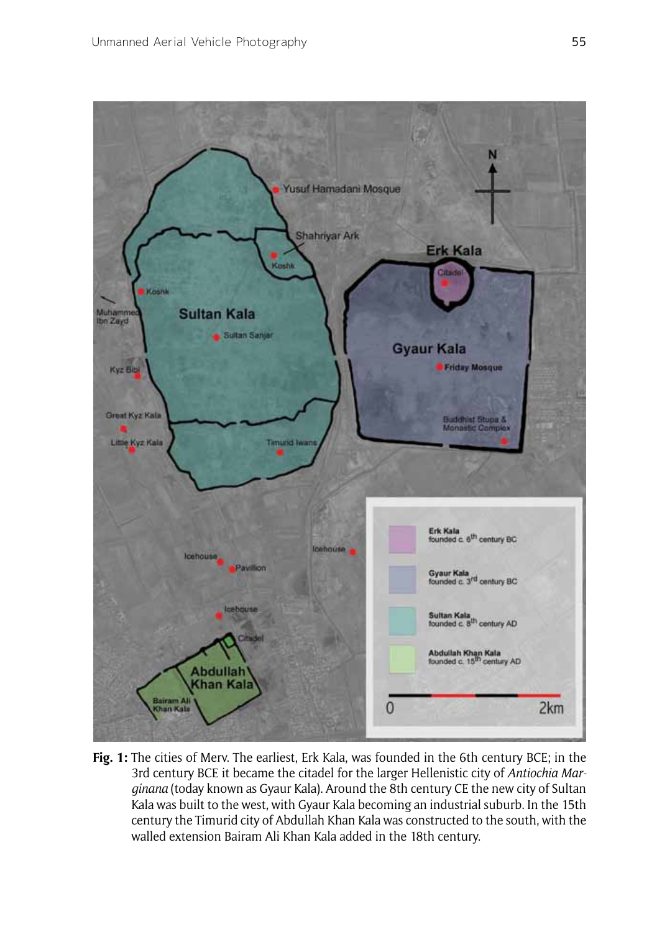

**Fig. 1:** The cities of Merv. The earliest, Erk Kala, was founded in the 6th century BCE; in the 3rd century BCE it became the citadel for the larger Hellenistic city of *Antiochia Marginana* (today known as Gyaur Kala). Around the 8th century CE the new city of Sultan Kala was built to the west, with Gyaur Kala becoming an industrial suburb. In the 15th century the Timurid city of Abdullah Khan Kala was constructed to the south, with the walled extension Bairam Ali Khan Kala added in the 18th century.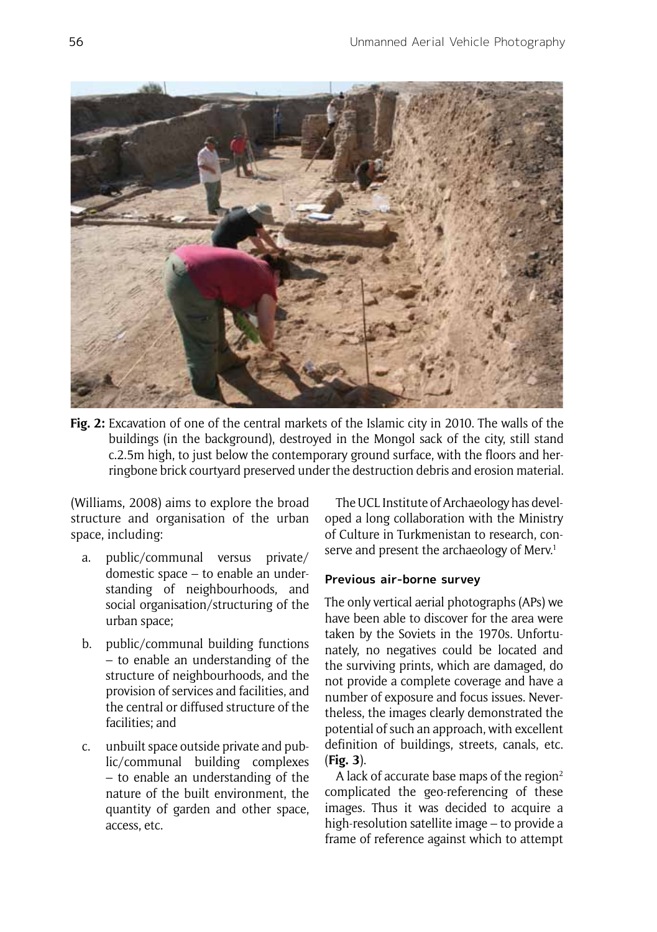

**Fig. 2:** Excavation of one of the central markets of the Islamic city in 2010. The walls of the buildings (in the background), destroyed in the Mongol sack of the city, still stand c.2.5m high, to just below the contemporary ground surface, with the floors and herringbone brick courtyard preserved under the destruction debris and erosion material.

(Williams, 2008) aims to explore the broad structure and organisation of the urban space, including:

- a. public/communal versus private/ domestic space – to enable an understanding of neighbourhoods, and social organisation/structuring of the urban space;
- b. public/communal building functions – to enable an understanding of the structure of neighbourhoods, and the provision of services and facilities, and the central or diffused structure of the facilities; and
- c. unbuilt space outside private and public/communal building complexes – to enable an understanding of the nature of the built environment, the quantity of garden and other space, access, etc.

The UCL Institute of Archaeology has developed a long collaboration with the Ministry of Culture in Turkmenistan to research, conserve and present the archaeology of Merv.<sup>1</sup>

## **Previous air-borne survey**

The only vertical aerial photographs (APs) we have been able to discover for the area were taken by the Soviets in the 1970s. Unfortunately, no negatives could be located and the surviving prints, which are damaged, do not provide a complete coverage and have a number of exposure and focus issues. Nevertheless, the images clearly demonstrated the potential of such an approach, with excellent definition of buildings, streets, canals, etc. (**Fig. 3**).

A lack of accurate base maps of the region $2$ complicated the geo-referencing of these images. Thus it was decided to acquire a high-resolution satellite image – to provide a frame of reference against which to attempt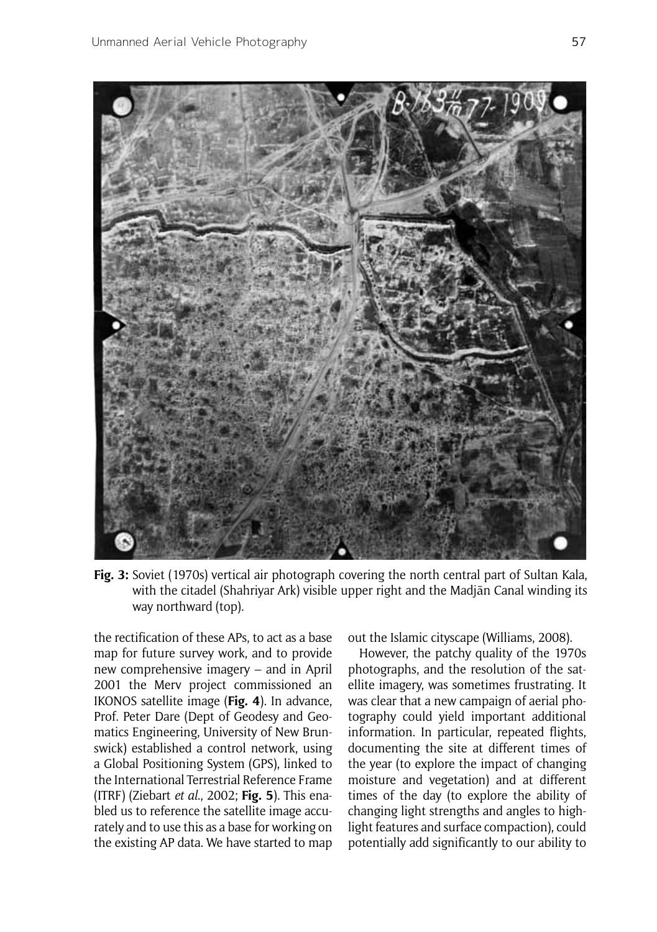

**Fig. 3:** Soviet (1970s) vertical air photograph covering the north central part of Sultan Kala, with the citadel (Shahriyar Ark) visible upper right and the Madjān Canal winding its way northward (top).

the rectification of these APs, to act as a base map for future survey work, and to provide new comprehensive imagery – and in April 2001 the Merv project commissioned an IKONOS satellite image (**Fig. 4**). In advance, Prof. Peter Dare (Dept of Geodesy and Geomatics Engineering, University of New Brunswick) established a control network, using a Global Positioning System (GPS), linked to the International Terrestrial Reference Frame (ITRF) (Ziebart *et al*., 2002; **Fig. 5**). This enabled us to reference the satellite image accurately and to use this as a base for working on the existing AP data. We have started to map

out the Islamic cityscape (Williams, 2008).

However, the patchy quality of the 1970s photographs, and the resolution of the satellite imagery, was sometimes frustrating. It was clear that a new campaign of aerial photography could yield important additional information. In particular, repeated flights, documenting the site at different times of the year (to explore the impact of changing moisture and vegetation) and at different times of the day (to explore the ability of changing light strengths and angles to highlight features and surface compaction), could potentially add significantly to our ability to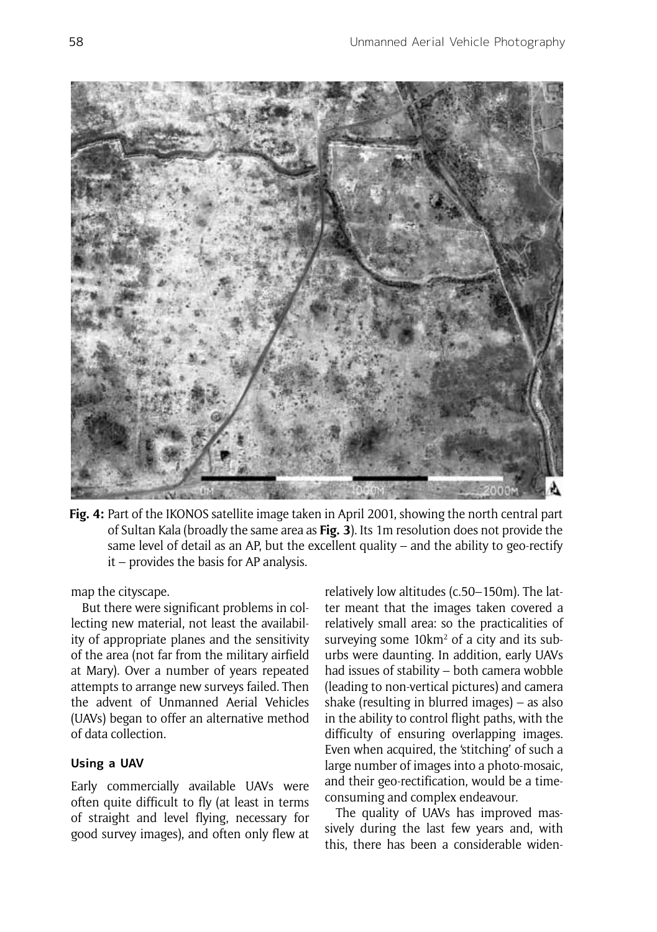

**Fig. 4:** Part of the IKONOS satellite image taken in April 2001, showing the north central part of Sultan Kala (broadly the same area as **Fig. 3**). Its 1m resolution does not provide the same level of detail as an AP, but the excellent quality – and the ability to geo-rectify it – provides the basis for AP analysis.

map the cityscape.

But there were significant problems in collecting new material, not least the availability of appropriate planes and the sensitivity of the area (not far from the military airfield at Mary). Over a number of years repeated attempts to arrange new surveys failed. Then the advent of Unmanned Aerial Vehicles (UAVs) began to offer an alternative method of data collection.

## **Using a UAV**

Early commercially available UAVs were often quite difficult to fly (at least in terms of straight and level flying, necessary for good survey images), and often only flew at relatively low altitudes (c.50–150m). The latter meant that the images taken covered a relatively small area: so the practicalities of surveying some 10km<sup>2</sup> of a city and its suburbs were daunting. In addition, early UAVs had issues of stability – both camera wobble (leading to non-vertical pictures) and camera shake (resulting in blurred images) – as also in the ability to control flight paths, with the difficulty of ensuring overlapping images. Even when acquired, the 'stitching' of such a large number of images into a photo-mosaic, and their geo-rectification, would be a timeconsuming and complex endeavour.

The quality of UAVs has improved massively during the last few years and, with this, there has been a considerable widen-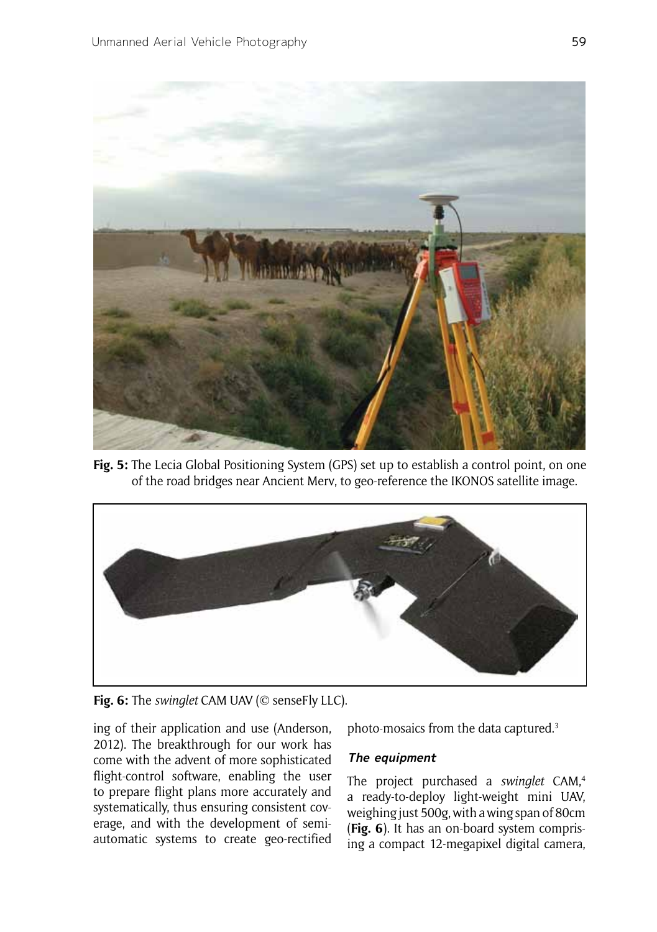

**Fig. 5:** The Lecia Global Positioning System (GPS) set up to establish a control point, on one of the road bridges near Ancient Merv, to geo-reference the IKONOS satellite image.



**Fig. 6:** The *swinglet* CAM UAV (© senseFly LLC).

ing of their application and use (Anderson, 2012). The breakthrough for our work has come with the advent of more sophisticated flight-control software, enabling the user to prepare flight plans more accurately and systematically, thus ensuring consistent coverage, and with the development of semiautomatic systems to create geo-rectified

photo-mosaics from the data captured.3

## **The equipment**

The project purchased a *swinglet* CAM,4 a ready-to-deploy light-weight mini UAV, weighing just 500g, with a wing span of 80cm (**Fig. 6**). It has an on-board system comprising a compact 12-megapixel digital camera,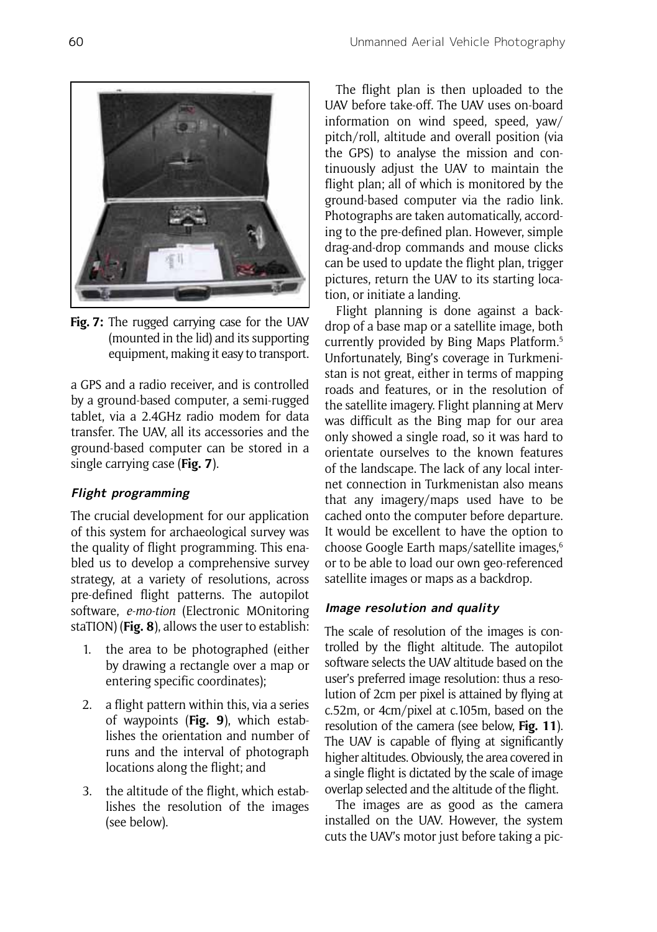

**Fig. 7:** The rugged carrying case for the UAV (mounted in the lid) and its supporting equipment, making it easy to transport.

a GPS and a radio receiver, and is controlled by a ground-based computer, a semi-rugged tablet, via a 2.4GHz radio modem for data transfer. The UAV, all its accessories and the ground-based computer can be stored in a single carrying case (**Fig. 7**).

# **Flight programming**

The crucial development for our application of this system for archaeological survey was the quality of flight programming. This enabled us to develop a comprehensive survey strategy, at a variety of resolutions, across pre-defined flight patterns. The autopilot software, *e-mo-tion* (Electronic MOnitoring staTION) (**Fig. 8**), allows the user to establish:

- 1. the area to be photographed (either by drawing a rectangle over a map or entering specific coordinates);
- 2. a flight pattern within this, via a series of waypoints (**Fig. 9**), which establishes the orientation and number of runs and the interval of photograph locations along the flight; and
- 3. the altitude of the flight, which establishes the resolution of the images (see below).

The flight plan is then uploaded to the UAV before take-off. The UAV uses on-board information on wind speed, speed, yaw/ pitch/roll, altitude and overall position (via the GPS) to analyse the mission and continuously adjust the UAV to maintain the flight plan; all of which is monitored by the ground-based computer via the radio link. Photographs are taken automatically, according to the pre-defined plan. However, simple drag-and-drop commands and mouse clicks can be used to update the flight plan, trigger pictures, return the UAV to its starting location, or initiate a landing.

Flight planning is done against a backdrop of a base map or a satellite image, both currently provided by Bing Maps Platform.5 Unfortunately, Bing's coverage in Turkmenistan is not great, either in terms of mapping roads and features, or in the resolution of the satellite imagery. Flight planning at Merv was difficult as the Bing map for our area only showed a single road, so it was hard to orientate ourselves to the known features of the landscape. The lack of any local internet connection in Turkmenistan also means that any imagery/maps used have to be cached onto the computer before departure. It would be excellent to have the option to choose Google Earth maps/satellite images,6 or to be able to load our own geo-referenced satellite images or maps as a backdrop.

## **Image resolution and quality**

The scale of resolution of the images is controlled by the flight altitude. The autopilot software selects the UAV altitude based on the user's preferred image resolution: thus a resolution of 2cm per pixel is attained by flying at c.52m, or 4cm/pixel at c.105m, based on the resolution of the camera (see below, **Fig. 11**). The UAV is capable of flying at significantly higher altitudes. Obviously, the area covered in a single flight is dictated by the scale of image overlap selected and the altitude of the flight.

The images are as good as the camera installed on the UAV. However, the system cuts the UAV's motor just before taking a pic-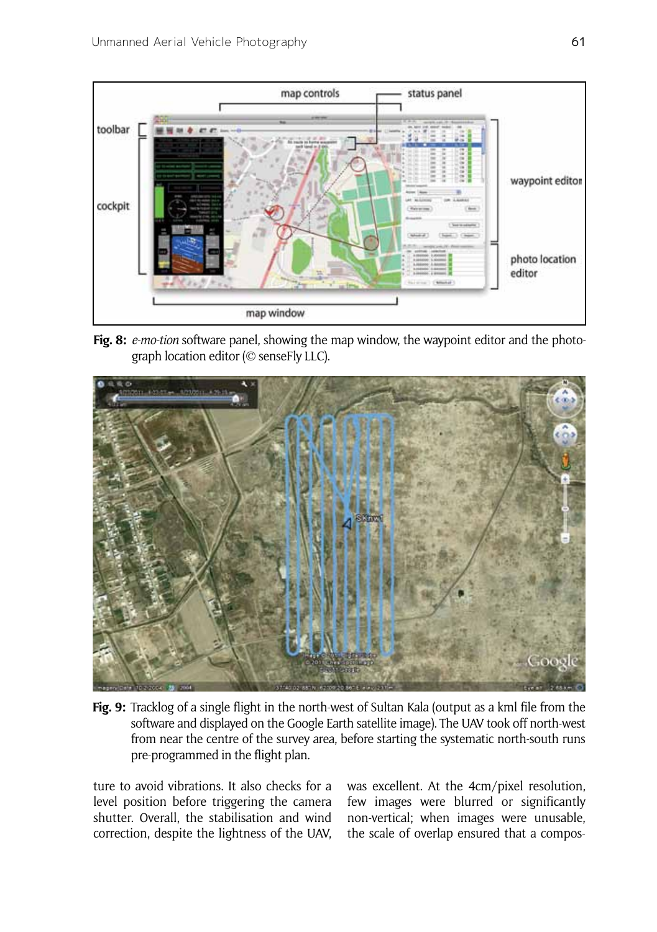

**Fig. 8:** *e-mo-tion* software panel, showing the map window, the waypoint editor and the photograph location editor (© senseFly LLC).



**Fig. 9:** Tracklog of a single flight in the north-west of Sultan Kala (output as a kml file from the software and displayed on the Google Earth satellite image). The UAV took off north-west from near the centre of the survey area, before starting the systematic north-south runs pre-programmed in the flight plan.

ture to avoid vibrations. It also checks for a level position before triggering the camera shutter. Overall, the stabilisation and wind correction, despite the lightness of the UAV,

was excellent. At the 4cm/pixel resolution, few images were blurred or significantly non-vertical; when images were unusable, the scale of overlap ensured that a compos-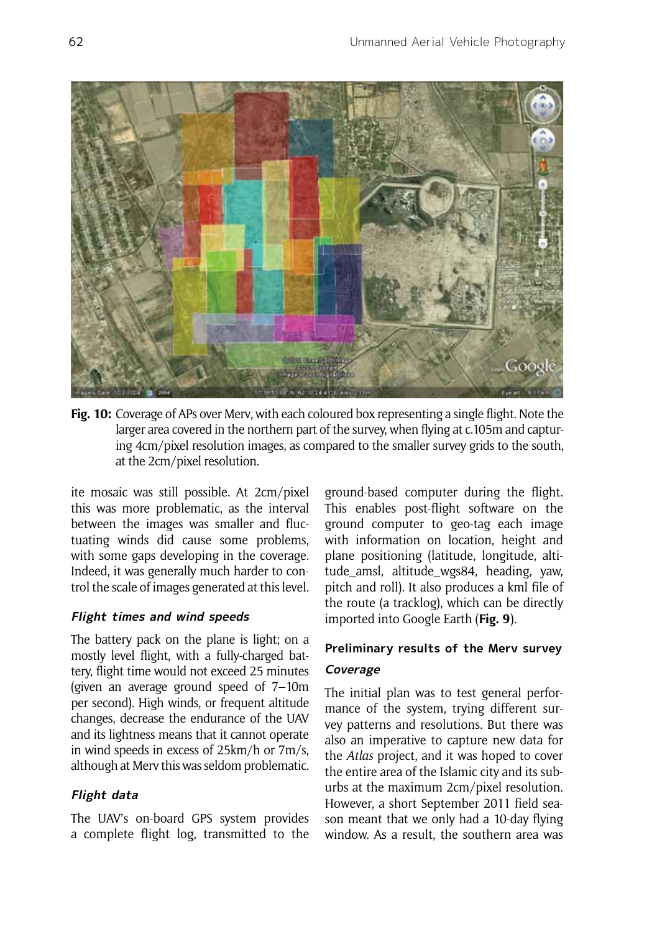

**Fig. 10:** Coverage of APs over Merv, with each coloured box representing a single flight. Note the larger area covered in the northern part of the survey, when flying at c.105m and capturing 4cm/pixel resolution images, as compared to the smaller survey grids to the south, at the 2cm/pixel resolution.

ite mosaic was still possible. At 2cm/pixel this was more problematic, as the interval between the images was smaller and fluctuating winds did cause some problems, with some gaps developing in the coverage. Indeed, it was generally much harder to control the scale of images generated at this level.

# **Flight times and wind speeds**

The battery pack on the plane is light; on a mostly level flight, with a fully-charged battery, flight time would not exceed 25 minutes (given an average ground speed of 7–10m per second). High winds, or frequent altitude changes, decrease the endurance of the UAV and its lightness means that it cannot operate in wind speeds in excess of 25km/h or 7m/s, although at Merv this was seldom problematic.

## **Flight data**

The UAV's on-board GPS system provides a complete flight log, transmitted to the ground-based computer during the flight. This enables post-flight software on the ground computer to geo-tag each image with information on location, height and plane positioning (latitude, longitude, altitude\_amsl, altitude\_wgs84, heading, yaw, pitch and roll). It also produces a kml file of the route (a tracklog), which can be directly imported into Google Earth (**Fig. 9**).

# **Preliminary results of the Merv survey Coverage**

The initial plan was to test general performance of the system, trying different survey patterns and resolutions. But there was also an imperative to capture new data for the *Atlas* project, and it was hoped to cover the entire area of the Islamic city and its suburbs at the maximum 2cm/pixel resolution. However, a short September 2011 field season meant that we only had a 10-day flying window. As a result, the southern area was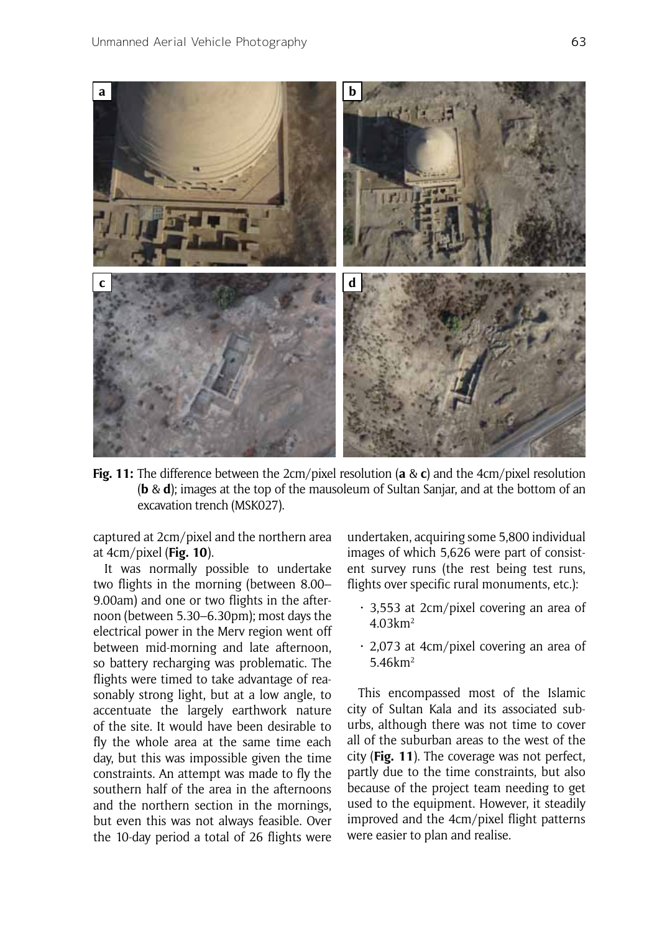

**Fig. 11:** The difference between the 2cm/pixel resolution (**a** & **c**) and the 4cm/pixel resolution (**b** & **d**); images at the top of the mausoleum of Sultan Sanjar, and at the bottom of an excavation trench (MSK027).

captured at 2cm/pixel and the northern area at 4cm/pixel (**Fig. 10**).

It was normally possible to undertake two flights in the morning (between 8.00– 9.00am) and one or two flights in the afternoon (between 5.30–6.30pm); most days the electrical power in the Merv region went off between mid-morning and late afternoon, so battery recharging was problematic. The flights were timed to take advantage of reasonably strong light, but at a low angle, to accentuate the largely earthwork nature of the site. It would have been desirable to fly the whole area at the same time each day, but this was impossible given the time constraints. An attempt was made to fly the southern half of the area in the afternoons and the northern section in the mornings, but even this was not always feasible. Over the 10-day period a total of 26 flights were

undertaken, acquiring some 5,800 individual images of which 5,626 were part of consistent survey runs (the rest being test runs, flights over specific rural monuments, etc.):

- $\cdot$  3,553 at 2cm/pixel covering an area of 4.03km2
- $\cdot$  2,073 at 4cm/pixel covering an area of 5.46km2

This encompassed most of the Islamic city of Sultan Kala and its associated suburbs, although there was not time to cover all of the suburban areas to the west of the city (**Fig. 11**). The coverage was not perfect, partly due to the time constraints, but also because of the project team needing to get used to the equipment. However, it steadily improved and the 4cm/pixel flight patterns were easier to plan and realise.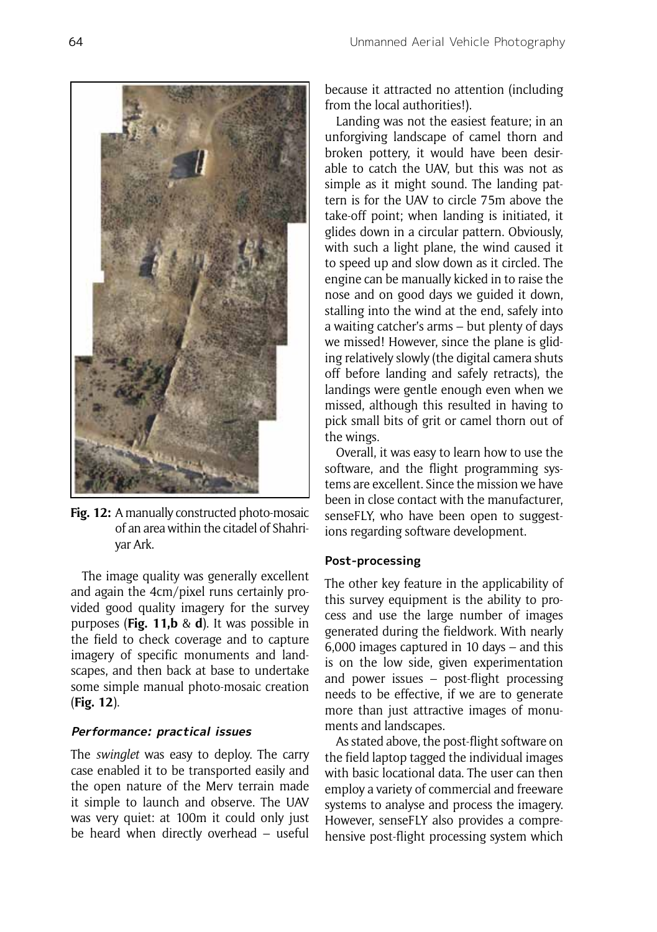because it attracted no attention (including from the local authorities!).

Landing was not the easiest feature; in an unforgiving landscape of camel thorn and broken pottery, it would have been desirable to catch the UAV, but this was not as simple as it might sound. The landing pattern is for the UAV to circle 75m above the take-off point; when landing is initiated, it glides down in a circular pattern. Obviously, with such a light plane, the wind caused it to speed up and slow down as it circled. The engine can be manually kicked in to raise the nose and on good days we guided it down, stalling into the wind at the end, safely into a waiting catcher's arms – but plenty of days we missed! However, since the plane is gliding relatively slowly (the digital camera shuts off before landing and safely retracts), the landings were gentle enough even when we missed, although this resulted in having to pick small bits of grit or camel thorn out of the wings.

Overall, it was easy to learn how to use the software, and the flight programming systems are excellent. Since the mission we have been in close contact with the manufacturer, senseFLY, who have been open to suggestions regarding software development.

## **Post-processing**

The other key feature in the applicability of this survey equipment is the ability to process and use the large number of images generated during the fieldwork. With nearly 6,000 images captured in 10 days – and this is on the low side, given experimentation and power issues – post-flight processing needs to be effective, if we are to generate more than just attractive images of monuments and landscapes.

As stated above, the post-flight software on the field laptop tagged the individual images with basic locational data. The user can then employ a variety of commercial and freeware systems to analyse and process the imagery. However, senseFLY also provides a comprehensive post-flight processing system which

of an area within the citadel of Shahriyar Ark.

The image quality was generally excellent and again the 4cm/pixel runs certainly provided good quality imagery for the survey purposes (**Fig. 11,b** & **d**). It was possible in the field to check coverage and to capture imagery of specific monuments and landscapes, and then back at base to undertake some simple manual photo-mosaic creation (**Fig. 12**).

## **Performance: practical issues**

The *swinglet* was easy to deploy. The carry case enabled it to be transported easily and the open nature of the Merv terrain made it simple to launch and observe. The UAV was very quiet: at 100m it could only just be heard when directly overhead – useful

**Fig. 12:** A manually constructed photo-mosaic

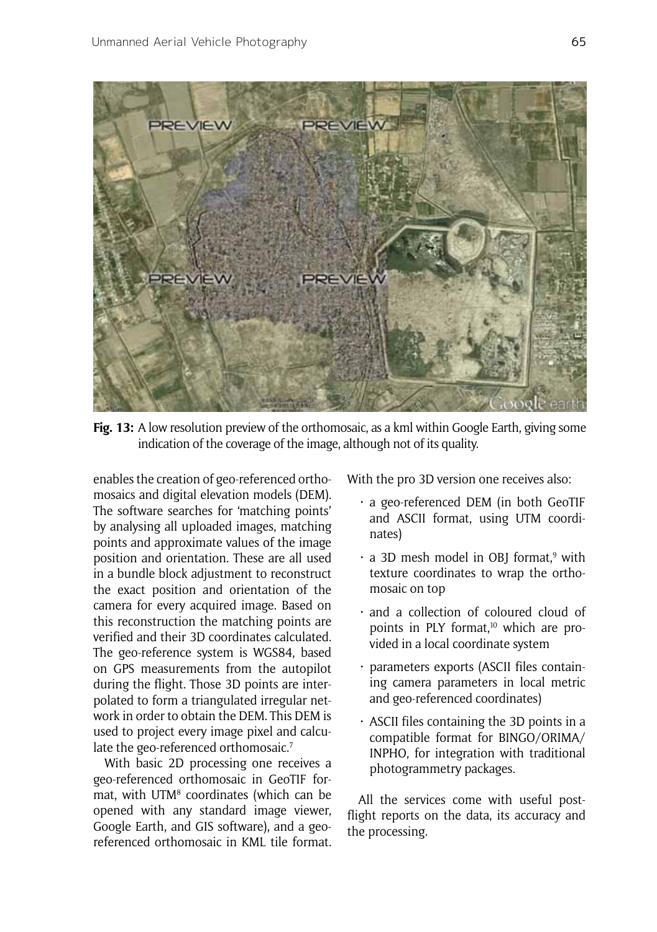

**Fig. 13:** A low resolution preview of the orthomosaic, as a kml within Google Earth, giving some indication of the coverage of the image, although not of its quality.

enables the creation of geo-referenced orthomosaics and digital elevation models (DEM). The software searches for 'matching points' by analysing all uploaded images, matching points and approximate values of the image position and orientation. These are all used in a bundle block adjustment to reconstruct the exact position and orientation of the camera for every acquired image. Based on this reconstruction the matching points are verified and their 3D coordinates calculated. The geo-reference system is WGS84, based on GPS measurements from the autopilot during the flight. Those 3D points are interpolated to form a triangulated irregular network in order to obtain the DEM. This DEM is used to project every image pixel and calculate the geo-referenced orthomosaic.<sup>7</sup>

With basic 2D processing one receives a geo-referenced orthomosaic in GeoTIF format, with UTM<sup>8</sup> coordinates (which can be opened with any standard image viewer, Google Earth, and GIS software), and a georeferenced orthomosaic in KML tile format.

With the pro 3D version one receives also:

- · a geo-referenced DEM (in both GeoTIF and ASCII format, using UTM coordinates)
- a 3D mesh model in OBJ format,<sup>9</sup> with texture coordinates to wrap the orthomosaic on top
- · and a collection of coloured cloud of points in PLY format,<sup>10</sup> which are provided in a local coordinate system
- · parameters exports (ASCII files containing camera parameters in local metric and geo-referenced coordinates)
- $\cdot$  ASCII files containing the 3D points in a compatible format for BINGO/ORIMA/ INPHO, for integration with traditional photogrammetry packages.

All the services come with useful postflight reports on the data, its accuracy and the processing.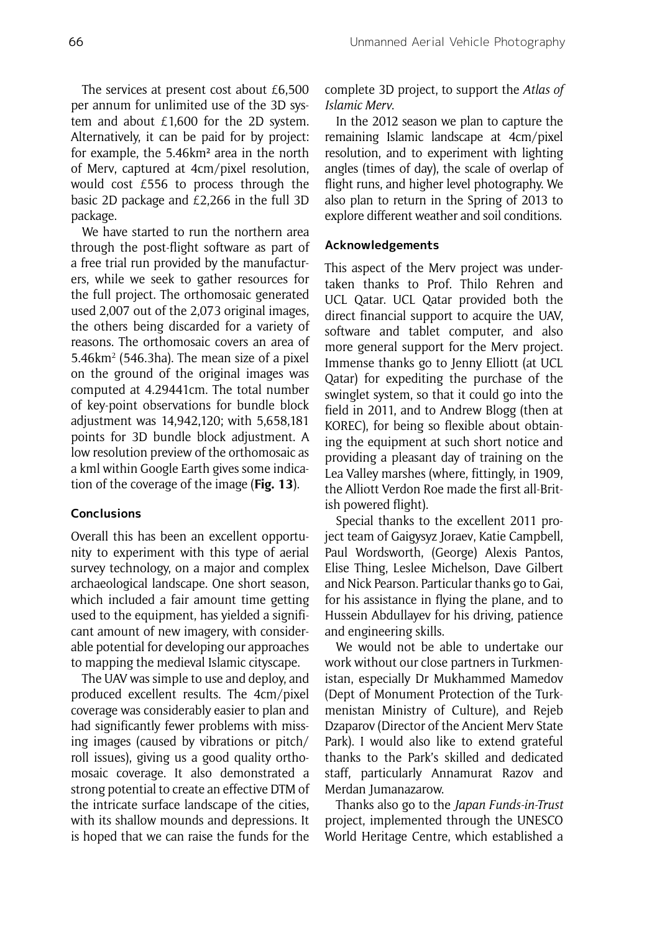The services at present cost about £6,500 per annum for unlimited use of the 3D system and about £1,600 for the 2D system. Alternatively, it can be paid for by project: for example, the 5.46km² area in the north of Merv, captured at 4cm/pixel resolution, would cost £556 to process through the basic 2D package and £2,266 in the full 3D package.

We have started to run the northern area through the post-flight software as part of a free trial run provided by the manufacturers, while we seek to gather resources for the full project. The orthomosaic generated used 2,007 out of the 2,073 original images, the others being discarded for a variety of reasons. The orthomosaic covers an area of 5.46km2 (546.3ha). The mean size of a pixel on the ground of the original images was computed at 4.29441cm. The total number of key-point observations for bundle block adjustment was 14,942,120; with 5,658,181 points for 3D bundle block adjustment. A low resolution preview of the orthomosaic as a kml within Google Earth gives some indication of the coverage of the image (**Fig. 13**).

#### **Conclusions**

Overall this has been an excellent opportunity to experiment with this type of aerial survey technology, on a major and complex archaeological landscape. One short season, which included a fair amount time getting used to the equipment, has yielded a significant amount of new imagery, with considerable potential for developing our approaches to mapping the medieval Islamic cityscape.

The UAV was simple to use and deploy, and produced excellent results. The 4cm/pixel coverage was considerably easier to plan and had significantly fewer problems with missing images (caused by vibrations or pitch/ roll issues), giving us a good quality orthomosaic coverage. It also demonstrated a strong potential to create an effective DTM of the intricate surface landscape of the cities, with its shallow mounds and depressions. It is hoped that we can raise the funds for the complete 3D project, to support the *Atlas of Islamic Merv*.

In the 2012 season we plan to capture the remaining Islamic landscape at 4cm/pixel resolution, and to experiment with lighting angles (times of day), the scale of overlap of flight runs, and higher level photography. We also plan to return in the Spring of 2013 to explore different weather and soil conditions.

#### **Acknowledgements**

This aspect of the Merv project was undertaken thanks to Prof. Thilo Rehren and UCL Qatar. UCL Qatar provided both the direct financial support to acquire the UAV, software and tablet computer, and also more general support for the Merv project. Immense thanks go to Jenny Elliott (at UCL Qatar) for expediting the purchase of the swinglet system, so that it could go into the field in 2011, and to Andrew Blogg (then at KOREC), for being so flexible about obtaining the equipment at such short notice and providing a pleasant day of training on the Lea Valley marshes (where, fittingly, in 1909, the Alliott Verdon Roe made the first all-British powered flight).

Special thanks to the excellent 2011 project team of Gaigysyz Joraev, Katie Campbell, Paul Wordsworth, (George) Alexis Pantos, Elise Thing, Leslee Michelson, Dave Gilbert and Nick Pearson. Particular thanks go to Gai, for his assistance in flying the plane, and to Hussein Abdullayev for his driving, patience and engineering skills.

We would not be able to undertake our work without our close partners in Turkmenistan, especially Dr Mukhammed Mamedov (Dept of Monument Protection of the Turkmenistan Ministry of Culture), and Rejeb Dzaparov (Director of the Ancient Merv State Park). I would also like to extend grateful thanks to the Park's skilled and dedicated staff, particularly Annamurat Razov and Merdan Jumanazarow.

Thanks also go to the *Japan Funds-in-Trust* project, implemented through the UNESCO World Heritage Centre, which established a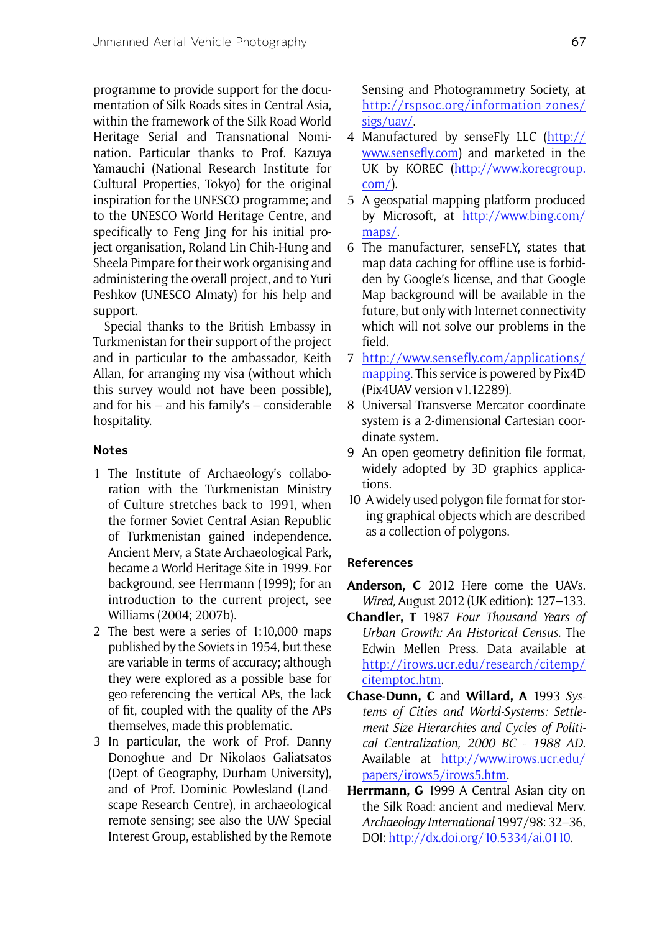programme to provide support for the documentation of Silk Roads sites in Central Asia, within the framework of the Silk Road World Heritage Serial and Transnational Nomination. Particular thanks to Prof. Kazuya Yamauchi (National Research Institute for Cultural Properties, Tokyo) for the original inspiration for the UNESCO programme; and to the UNESCO World Heritage Centre, and specifically to Feng Jing for his initial project organisation, Roland Lin Chih-Hung and Sheela Pimpare for their work organising and administering the overall project, and to Yuri Peshkov (UNESCO Almaty) for his help and support.

Special thanks to the British Embassy in Turkmenistan for their support of the project and in particular to the ambassador, Keith Allan, for arranging my visa (without which this survey would not have been possible), and for his – and his family's – considerable hospitality.

## **Notes**

- 1 The Institute of Archaeology's collaboration with the Turkmenistan Ministry of Culture stretches back to 1991, when the former Soviet Central Asian Republic of Turkmenistan gained independence. Ancient Merv, a State Archaeological Park, became a World Heritage Site in 1999. For background, see Herrmann (1999); for an introduction to the current project, see Williams (2004; 2007b).
- 2 The best were a series of 1:10,000 maps published by the Soviets in 1954, but these are variable in terms of accuracy; although they were explored as a possible base for geo-referencing the vertical APs, the lack of fit, coupled with the quality of the APs themselves, made this problematic.
- 3 In particular, the work of Prof. Danny Donoghue and Dr Nikolaos Galiatsatos (Dept of Geography, Durham University), and of Prof. Dominic Powlesland (Landscape Research Centre), in archaeological remote sensing; see also the UAV Special Interest Group, established by the Remote

Sensing and Photogrammetry Society, at http://rspsoc.org/information-zones/ sigs/uav/.

- 4 Manufactured by senseFly LLC (http:// www.sensefly.com) and marketed in the UK by KOREC (http://www.korecgroup. com/).
- 5 A geospatial mapping platform produced by Microsoft, at http://www.bing.com/ maps/.
- 6 The manufacturer, senseFLY, states that map data caching for offline use is forbidden by Google's license, and that Google Map background will be available in the future, but only with Internet connectivity which will not solve our problems in the field.
- 7 http://www.sensefly.com/applications/ mapping. This service is powered by Pix4D (Pix4UAV version v1.12289).
- 8 Universal Transverse Mercator coordinate system is a 2-dimensional Cartesian coordinate system.
- 9 An open geometry definition file format, widely adopted by 3D graphics applications.
- 10 A widely used polygon file format for storing graphical objects which are described as a collection of polygons.

## **References**

- **Anderson, C** 2012 Here come the UAVs. *Wired,* August 2012 (UK edition): 127–133.
- **Chandler, T** 1987 *Four Thousand Years of Urban Growth: An Historical Census.* The Edwin Mellen Press. Data available at http://irows.ucr.edu/research/citemp/ citemptoc.htm.
- **Chase-Dunn, C** and **Willard, A** 1993 *Systems of Cities and World-Systems: Settlement Size Hierarchies and Cycles of Political Centralization, 2000 BC - 1988 AD*. Available at http://www.irows.ucr.edu/ papers/irows5/irows5.htm.
- **Herrmann, G** 1999 A Central Asian city on the Silk Road: ancient and medieval Merv. *Archaeology International* 1997/98: 32–36, DOI: http://dx.doi.org/10.5334/ai.0110.